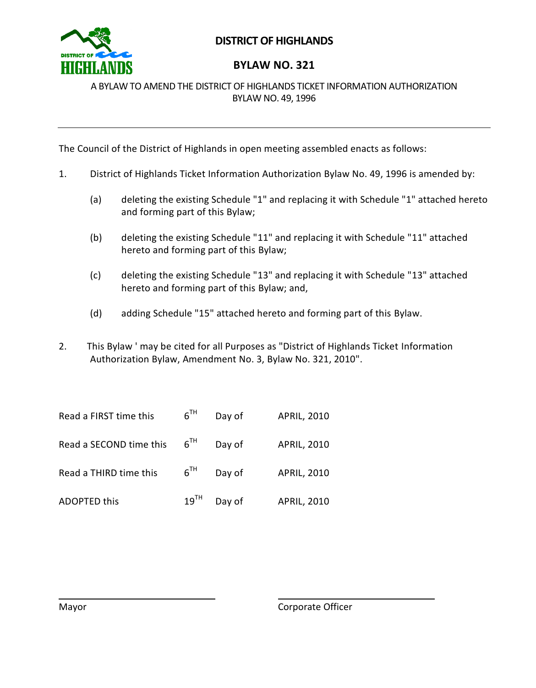

# **DISTRICT OF HIGHLANDS**

# **BYLAW NO. 321**

A BYLAW TO AMEND THE DISTRICT OF HIGHLANDS TICKET INFORMATION AUTHORIZATION BYLAW NO. 49, 1996

The Council of the District of Highlands in open meeting assembled enacts as follows:

- 1. District of Highlands Ticket Information Authorization Bylaw No. 49, 1996 is amended by:
	- (a) deleting the existing Schedule "1" and replacing it with Schedule "1" attached hereto and forming part of this Bylaw;
	- (b) deleting the existing Schedule "11" and replacing it with Schedule "11" attached hereto and forming part of this Bylaw;
	- (c) deleting the existing Schedule "13" and replacing it with Schedule "13" attached hereto and forming part of this Bylaw; and,
	- (d) adding Schedule "15" attached hereto and forming part of this Bylaw.
- 2. This Bylaw ' may be cited for all Purposes as "District of Highlands Ticket Information Authorization Bylaw, Amendment No. 3, Bylaw No. 321, 2010".

| Read a FIRST time this  | $6^{TH}$  | Day of | <b>APRIL, 2010</b> |
|-------------------------|-----------|--------|--------------------|
| Read a SECOND time this | $6^{TH}$  | Day of | <b>APRIL, 2010</b> |
| Read a THIRD time this  | $6^{TH}$  | Day of | <b>APRIL, 2010</b> |
| <b>ADOPTED this</b>     | $19^{TH}$ | Day of | <b>APRIL, 2010</b> |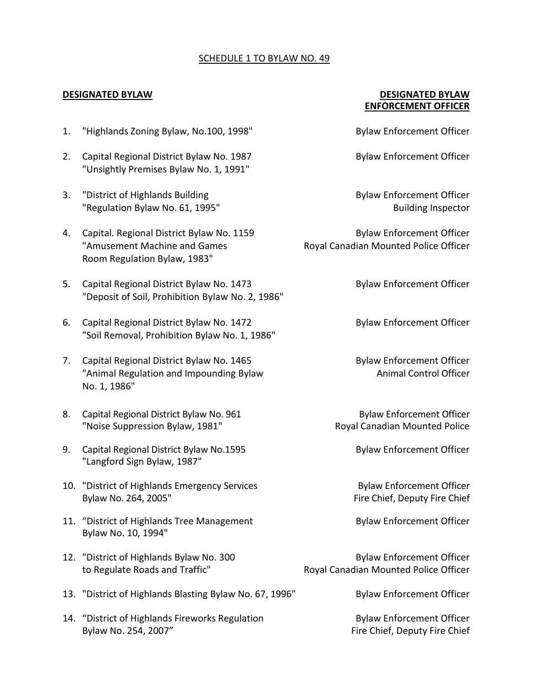#### SCHEDULE 1 TO BYLAW NO. 49

### **DESIGNATED BYLAW DESIGNATED BYLAW ENFORCEMENT OFFICER**

- 1. "Highlands Zoning Bylaw, No.100, 1998" Bylaw Enforcement Officer
- 2. Capital Regional District Bylaw No. 1987 **Bylaw Enforcement Officer** "Unsightly Premises Bylaw No. 1, 1991"
- 3. "District of Highlands Building Bylaw Enforcement Officer "Regulation Bylaw No. 61, 1995" Manuson Communication Building Inspector
- 4. Capital. Regional District Bylaw No. 1159 Bylaw Enforcement Officer "Amusement Machine and Games Royal Canadian Mounted Police Officer Room Regulation Bylaw, 1983"
- 5. Capital Regional District Bylaw No. 1473 Bylaw Enforcement Officer "Deposit of Soil, Prohibition Bylaw No. 2, 1986"
- 6. Capital Regional District Bylaw No. 1472 Bylaw Enforcement Officer "Soil Removal, Prohibition Bylaw No. 1, 1986"
- 7. Capital Regional District Bylaw No. 1465 Bylaw Enforcement Officer "Animal Regulation and Impounding Bylaw Animal Control Officer No. 1, 1986"
- 8. Capital Regional District Bylaw No. 961 Bylaw Enforcement Officer "Noise Suppression Bylaw, 1981" The Coval Canadian Mounted Police
- 9. Capital Regional District Bylaw No.1595 Bylaw Enforcement Officer "Langford Sign Bylaw, 1987"
- 10. "District of Highlands Emergency Services Bylaw Enforcement Officer Bylaw No. 264, 2005" The Chief, Deputy Fire Chief
- 11. "District of Highlands Tree Management Bylaw Enforcement Officer Bylaw No. 10, 1994"
- 12. "District of Highlands Bylaw No. 300 Bylaw Enforcement Officer
- 13. "District of Highlands Blasting Bylaw No. 67, 1996" Bylaw Enforcement Officer
- 14. "District of Highlands Fireworks Regulation Bylaw Enforcement Officer Bylaw No. 254, 2007" The Chief Sylaw No. 254, 2007"

to Regulate Roads and Traffic" Royal Canadian Mounted Police Officer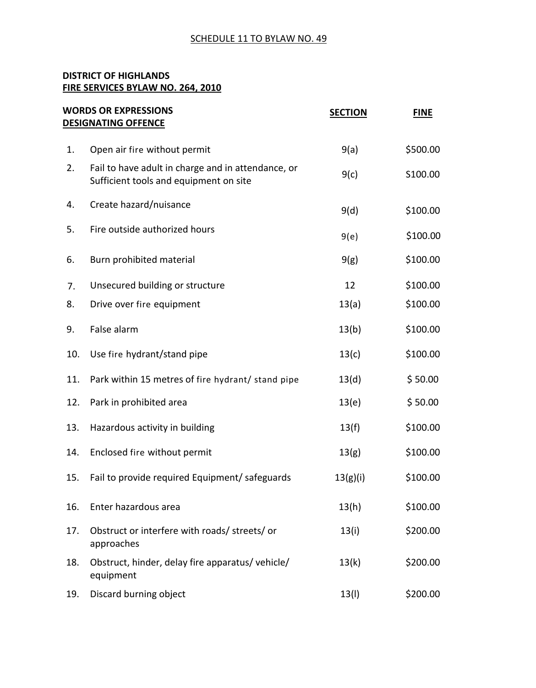## SCHEDULE 11 TO BYLAW NO. 49

#### **DISTRICT OF HIGHLANDS FIRE SERVICES BYLAW NO. 264, 2010**

|     | <b>WORDS OR EXPRESSIONS</b><br><b>DESIGNATING OFFENCE</b>                                    | <b>SECTION</b> | <b>FINE</b> |
|-----|----------------------------------------------------------------------------------------------|----------------|-------------|
| 1.  | Open air fire without permit                                                                 | 9(a)           | \$500.00    |
| 2.  | Fail to have adult in charge and in attendance, or<br>Sufficient tools and equipment on site | 9(c)           | S100.00     |
| 4.  | Create hazard/nuisance                                                                       | 9(d)           | \$100.00    |
| 5.  | Fire outside authorized hours                                                                | 9(e)           | \$100.00    |
| 6.  | Burn prohibited material                                                                     | 9(g)           | \$100.00    |
| 7.  | Unsecured building or structure                                                              | 12             | \$100.00    |
| 8.  | Drive over fire equipment                                                                    | 13(a)          | \$100.00    |
| 9.  | False alarm                                                                                  | 13(b)          | \$100.00    |
| 10. | Use fire hydrant/stand pipe                                                                  | 13(c)          | \$100.00    |
| 11. | Park within 15 metres of fire hydrant/ stand pipe                                            | 13(d)          | \$50.00     |
| 12. | Park in prohibited area                                                                      | 13(e)          | \$50.00     |
| 13. | Hazardous activity in building                                                               | 13(f)          | \$100.00    |
| 14. | Enclosed fire without permit                                                                 | 13(g)          | \$100.00    |
| 15. | Fail to provide required Equipment/ safeguards                                               | 13(g)(i)       | \$100.00    |
| 16. | Enter hazardous area                                                                         | 13(h)          | \$100.00    |
| 17. | Obstruct or interfere with roads/ streets/ or<br>approaches                                  | 13(i)          | \$200.00    |
| 18. | Obstruct, hinder, delay fire apparatus/vehicle/<br>equipment                                 | 13(k)          | \$200.00    |
| 19. | Discard burning object                                                                       | 13(1)          | \$200.00    |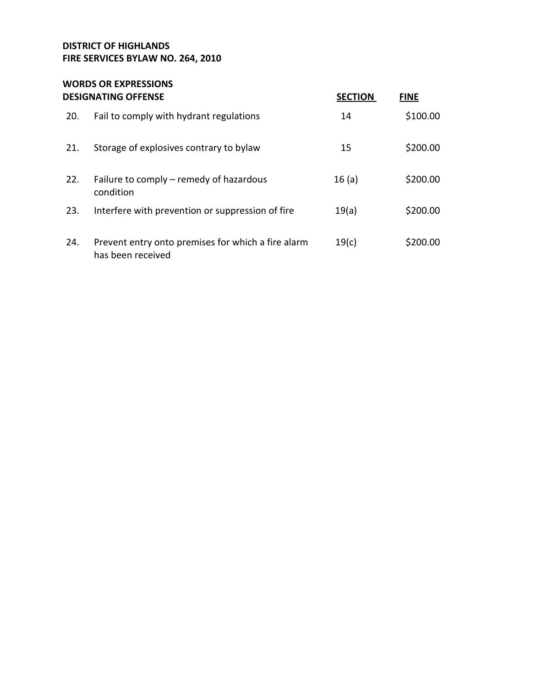## **DISTRICT OF HIGHLANDS FIRE SERVICES BYLAW NO. 264, 2010**

#### **WORDS OR EXPRESSIONS DESIGNATING OFFENSE SECTION FINE**

|     | DLJIGNATING OFFLIVJL                                                    | <b>JLLIUN</b> | LIIAL    |
|-----|-------------------------------------------------------------------------|---------------|----------|
| 20. | Fail to comply with hydrant regulations                                 | 14            | \$100.00 |
| 21. | Storage of explosives contrary to bylaw                                 | 15            | \$200.00 |
| 22. | Failure to comply – remedy of hazardous<br>condition                    | 16(a)         | \$200.00 |
| 23. | Interfere with prevention or suppression of fire                        | 19(a)         | \$200.00 |
| 24. | Prevent entry onto premises for which a fire alarm<br>has been received | 19(c)         | \$200.00 |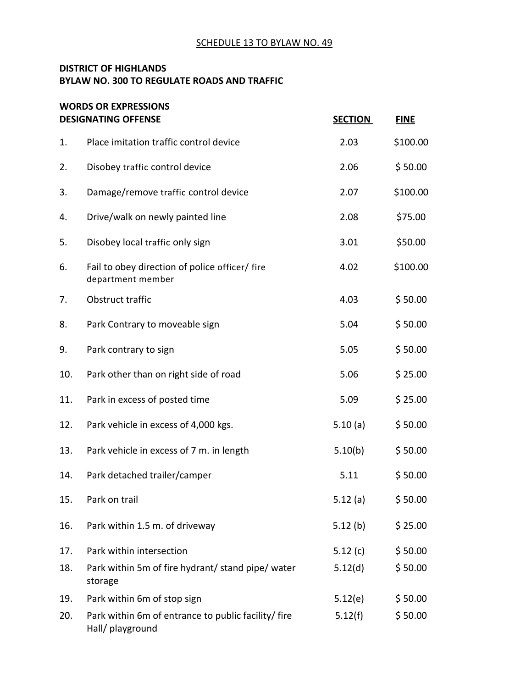#### SCHEDULE 13 TO BYLAW NO. 49

## **DISTRICT OF HIGHLANDS BYLAW NO. 300 TO REGULATE ROADS AND TRAFFIC**

|     | <b>WORDS OR EXPRESSIONS</b><br><b>DESIGNATING OFFENSE</b>              | <b>SECTION</b> | <b>FINE</b> |
|-----|------------------------------------------------------------------------|----------------|-------------|
| 1.  | Place imitation traffic control device                                 | 2.03           | \$100.00    |
| 2.  | Disobey traffic control device                                         | 2.06           | \$50.00     |
| 3.  | Damage/remove traffic control device                                   | 2.07           | \$100.00    |
| 4.  | Drive/walk on newly painted line                                       | 2.08           | \$75.00     |
| 5.  | Disobey local traffic only sign                                        | 3.01           | \$50.00     |
| 6.  | Fail to obey direction of police officer/ fire<br>department member    | 4.02           | \$100.00    |
| 7.  | Obstruct traffic                                                       | 4.03           | \$50.00     |
| 8.  | Park Contrary to moveable sign                                         | 5.04           | \$50.00     |
| 9.  | Park contrary to sign                                                  | 5.05           | \$50.00     |
| 10. | Park other than on right side of road                                  | 5.06           | \$25.00     |
| 11. | Park in excess of posted time                                          | 5.09           | \$25.00     |
| 12. | Park vehicle in excess of 4,000 kgs.                                   | 5.10(a)        | \$50.00     |
| 13. | Park vehicle in excess of 7 m. in length                               | 5.10(b)        | \$50.00     |
| 14. | Park detached trailer/camper                                           | 5.11           | \$50.00     |
| 15. | Park on trail                                                          | 5.12(a)        | \$50.00     |
| 16. | Park within 1.5 m. of driveway                                         | 5.12(b)        | \$25.00     |
| 17. | Park within intersection                                               | 5.12 $(c)$     | \$50.00     |
| 18. | Park within 5m of fire hydrant/ stand pipe/ water<br>storage           | 5.12(d)        | \$50.00     |
| 19. | Park within 6m of stop sign                                            | 5.12(e)        | \$50.00     |
| 20. | Park within 6m of entrance to public facility/fire<br>Hall/ playground | 5.12(f)        | \$50.00     |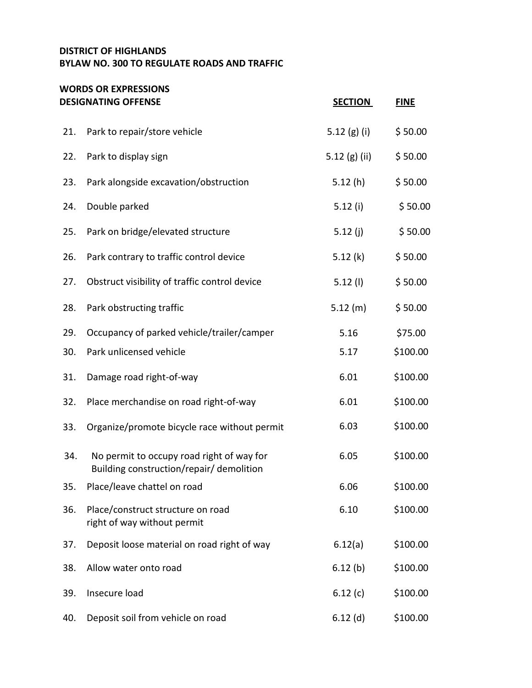## **DISTRICT OF HIGHLANDS BYLAW NO. 300 TO REGULATE ROADS AND TRAFFIC**

#### **WORDS OR EXPRESSIONS DESIGNATING OFFENSE SECTION FINE**

|     | ULSIUINA I IINU UFFEINSE                                                              | <u>SECTIUN</u>  | <u>FIINE</u> |
|-----|---------------------------------------------------------------------------------------|-----------------|--------------|
| 21. | Park to repair/store vehicle                                                          | 5.12 $(g)$ (i)  | \$50.00      |
| 22. | Park to display sign                                                                  | 5.12 $(g)$ (ii) | \$50.00      |
| 23. | Park alongside excavation/obstruction                                                 | 5.12(h)         | \$50.00      |
| 24. | Double parked                                                                         | 5.12(i)         | \$50.00      |
| 25. | Park on bridge/elevated structure                                                     | 5.12 $(j)$      | \$50.00      |
| 26. | Park contrary to traffic control device                                               | 5.12(k)         | \$50.00      |
| 27. | Obstruct visibility of traffic control device                                         | $5.12$ (l)      | \$50.00      |
| 28. | Park obstructing traffic                                                              | 5.12(m)         | \$50.00      |
| 29. | Occupancy of parked vehicle/trailer/camper                                            | 5.16            | \$75.00      |
| 30. | Park unlicensed vehicle                                                               | 5.17            | \$100.00     |
| 31. | Damage road right-of-way                                                              | 6.01            | \$100.00     |
| 32. | Place merchandise on road right-of-way                                                | 6.01            | \$100.00     |
| 33. | Organize/promote bicycle race without permit                                          | 6.03            | \$100.00     |
| 34. | No permit to occupy road right of way for<br>Building construction/repair/ demolition | 6.05            | \$100.00     |
| 35. | Place/leave chattel on road                                                           | 6.06            | \$100.00     |
| 36. | Place/construct structure on road<br>right of way without permit                      | 6.10            | \$100.00     |
| 37. | Deposit loose material on road right of way                                           | 6.12(a)         | \$100.00     |
| 38. | Allow water onto road                                                                 | 6.12(b)         | \$100.00     |
| 39. | Insecure load                                                                         | 6.12(c)         | \$100.00     |
| 40. | Deposit soil from vehicle on road                                                     | $6.12$ (d)      | \$100.00     |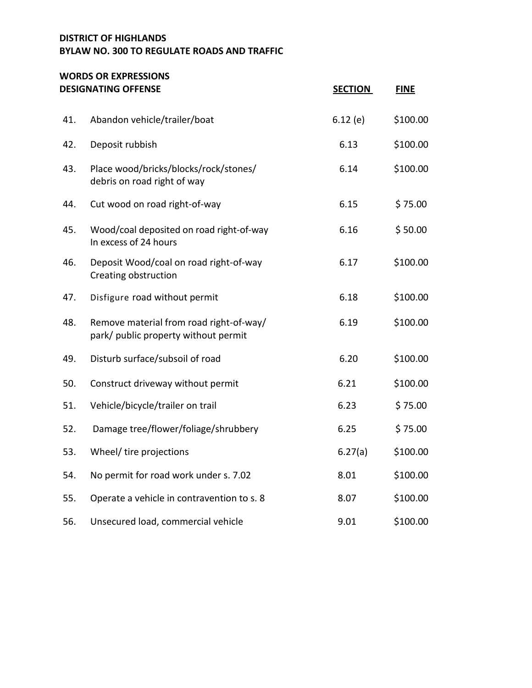#### **DISTRICT OF HIGHLANDS BYLAW NO. 300 TO REGULATE ROADS AND TRAFFIC**

#### **WORDS OR EXPRESSIONS DESIGNATING OFFENSE SECTION FINE**

| 41. | Abandon vehicle/trailer/boat                                                    | 6.12(e) | \$100.00 |
|-----|---------------------------------------------------------------------------------|---------|----------|
| 42. | Deposit rubbish                                                                 | 6.13    | \$100.00 |
| 43. | Place wood/bricks/blocks/rock/stones/<br>debris on road right of way            | 6.14    | \$100.00 |
| 44. | Cut wood on road right-of-way                                                   | 6.15    | \$75.00  |
| 45. | Wood/coal deposited on road right-of-way<br>In excess of 24 hours               | 6.16    | \$50.00  |
| 46. | Deposit Wood/coal on road right-of-way<br>Creating obstruction                  | 6.17    | \$100.00 |
| 47. | Disfigure road without permit                                                   | 6.18    | \$100.00 |
| 48. | Remove material from road right-of-way/<br>park/ public property without permit | 6.19    | \$100.00 |
| 49. | Disturb surface/subsoil of road                                                 | 6.20    | \$100.00 |
| 50. | Construct driveway without permit                                               | 6.21    | \$100.00 |
| 51. | Vehicle/bicycle/trailer on trail                                                | 6.23    | \$75.00  |
| 52. | Damage tree/flower/foliage/shrubbery                                            | 6.25    | \$75.00  |
| 53. | Wheel/ tire projections                                                         | 6.27(a) | \$100.00 |
| 54. | No permit for road work under s. 7.02                                           | 8.01    | \$100.00 |
| 55. | Operate a vehicle in contravention to s. 8                                      | 8.07    | \$100.00 |
| 56. | Unsecured load, commercial vehicle                                              | 9.01    | \$100.00 |